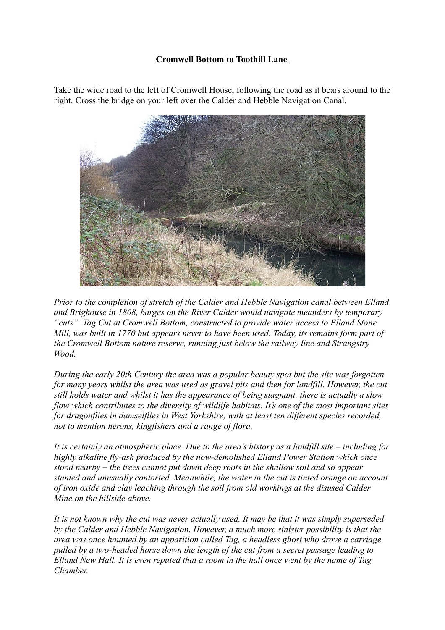## **Cromwell Bottom to Toothill Lane**

Take the wide road to the left of Cromwell House, following the road as it bears around to the right. Cross the bridge on your left over the Calder and Hebble Navigation Canal.



*Prior to the completion of stretch of the Calder and Hebble Navigation canal between Elland and Brighouse in 1808, barges on the River Calder would navigate meanders by temporary "cuts". Tag Cut at Cromwell Bottom, constructed to provide water access to Elland Stone Mill, was built in 1770 but appears never to have been used. Today, its remains form part of the Cromwell Bottom nature reserve, running just below the railway line and Strangstry Wood.*

*During the early 20th Century the area was a popular beauty spot but the site was forgotten for many years whilst the area was used as gravel pits and then for landfill. However, the cut still holds water and whilst it has the appearance of being stagnant, there is actually a slow flow which contributes to the diversity of wildlife habitats. It's one of the most important sites for dragonflies in damselflies in West Yorkshire, with at least ten different species recorded, not to mention herons, kingfishers and a range of flora.*

*It is certainly an atmospheric place. Due to the area's history as a landfill site – including for highly alkaline fly-ash produced by the now-demolished Elland Power Station which once stood nearby – the trees cannot put down deep roots in the shallow soil and so appear stunted and unusually contorted. Meanwhile, the water in the cut is tinted orange on account of iron oxide and clay leaching through the soil from old workings at the disused Calder Mine on the hillside above.*

*It is not known why the cut was never actually used. It may be that it was simply superseded by the Calder and Hebble Navigation. However, a much more sinister possibility is that the area was once haunted by an apparition called Tag, a headless ghost who drove a carriage pulled by a two-headed horse down the length of the cut from a secret passage leading to Elland New Hall. It is even reputed that a room in the hall once went by the name of Tag Chamber.*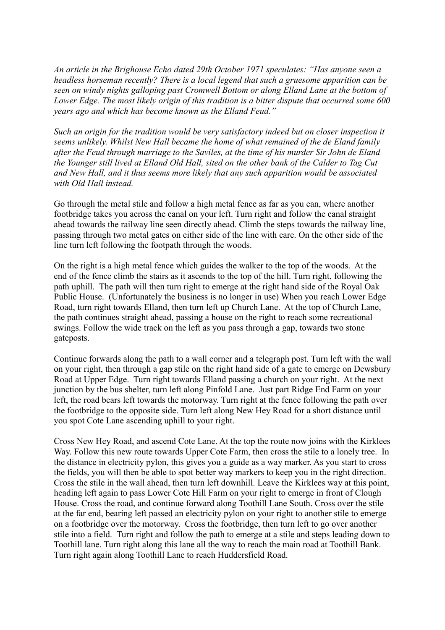*An article in the Brighouse Echo dated 29th October 1971 speculates: "Has anyone seen a headless horseman recently? There is a local legend that such a gruesome apparition can be seen on windy nights galloping past Cromwell Bottom or along Elland Lane at the bottom of Lower Edge. The most likely origin of this tradition is a bitter dispute that occurred some 600 years ago and which has become known as the Elland Feud."*

*Such an origin for the tradition would be very satisfactory indeed but on closer inspection it seems unlikely. Whilst New Hall became the home of what remained of the de Eland family after the Feud through marriage to the Saviles, at the time of his murder Sir John de Eland the Younger still lived at Elland Old Hall, sited on the other bank of the Calder to Tag Cut and New Hall, and it thus seems more likely that any such apparition would be associated with Old Hall instead.*

Go through the metal stile and follow a high metal fence as far as you can, where another footbridge takes you across the canal on your left. Turn right and follow the canal straight ahead towards the railway line seen directly ahead. Climb the steps towards the railway line, passing through two metal gates on either side of the line with care. On the other side of the line turn left following the footpath through the woods.

On the right is a high metal fence which guides the walker to the top of the woods. At the end of the fence climb the stairs as it ascends to the top of the hill. Turn right, following the path uphill. The path will then turn right to emerge at the right hand side of the Royal Oak Public House. (Unfortunately the business is no longer in use) When you reach Lower Edge Road, turn right towards Elland, then turn left up Church Lane. At the top of Church Lane, the path continues straight ahead, passing a house on the right to reach some recreational swings. Follow the wide track on the left as you pass through a gap, towards two stone gateposts.

Continue forwards along the path to a wall corner and a telegraph post. Turn left with the wall on your right, then through a gap stile on the right hand side of a gate to emerge on Dewsbury Road at Upper Edge. Turn right towards Elland passing a church on your right. At the next junction by the bus shelter, turn left along Pinfold Lane. Just part Ridge End Farm on your left, the road bears left towards the motorway. Turn right at the fence following the path over the footbridge to the opposite side. Turn left along New Hey Road for a short distance until you spot Cote Lane ascending uphill to your right.

Cross New Hey Road, and ascend Cote Lane. At the top the route now joins with the Kirklees Way. Follow this new route towards Upper Cote Farm, then cross the stile to a lonely tree. In the distance in electricity pylon, this gives you a guide as a way marker. As you start to cross the fields, you will then be able to spot better way markers to keep you in the right direction. Cross the stile in the wall ahead, then turn left downhill. Leave the Kirklees way at this point, heading left again to pass Lower Cote Hill Farm on your right to emerge in front of Clough House. Cross the road, and continue forward along Toothill Lane South. Cross over the stile at the far end, bearing left passed an electricity pylon on your right to another stile to emerge on a footbridge over the motorway. Cross the footbridge, then turn left to go over another stile into a field. Turn right and follow the path to emerge at a stile and steps leading down to Toothill lane. Turn right along this lane all the way to reach the main road at Toothill Bank. Turn right again along Toothill Lane to reach Huddersfield Road.